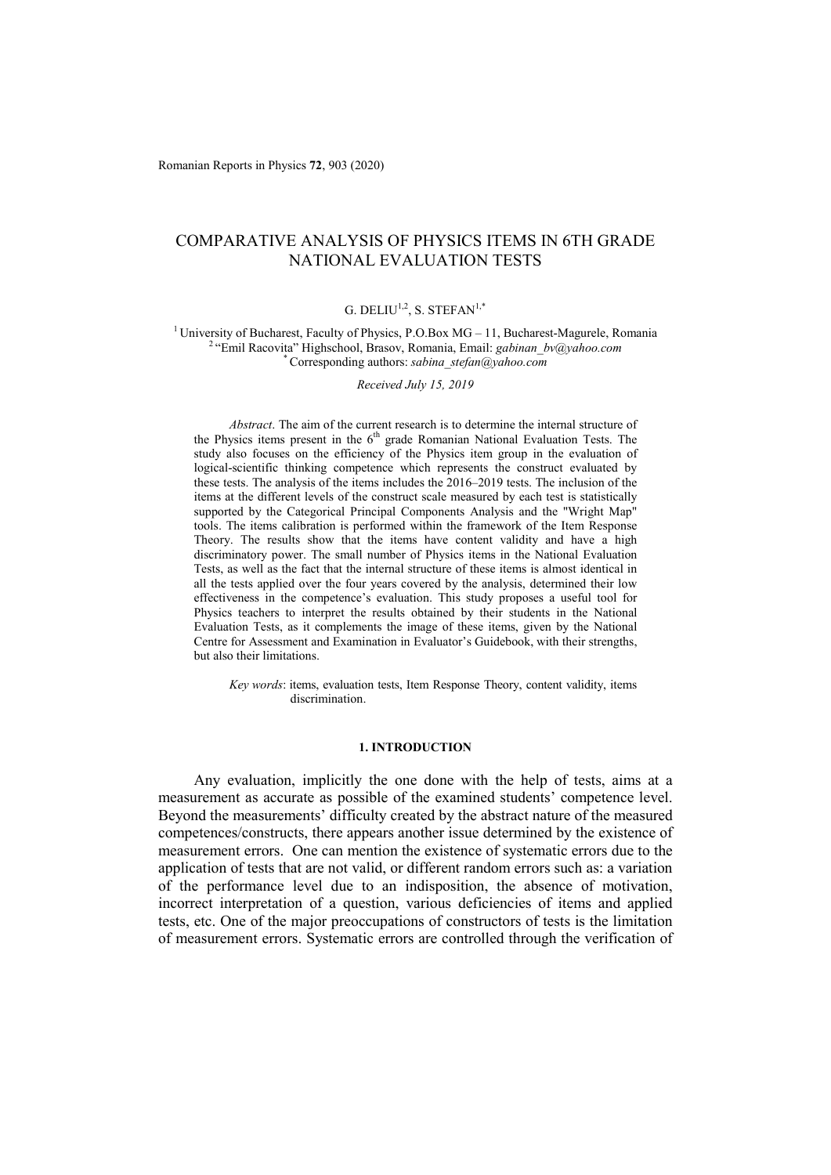Romanian Reports in Physics **72**, 903 (2020)

# COMPARATIVE ANALYSIS OF PHYSICS ITEMS IN 6TH GRADE NATIONAL EVALUATION TESTS

# G. DELIU<sup>1,2</sup>, S. STEFAN<sup>1,\*</sup>

<sup>1</sup> University of Bucharest, Faculty of Physics, P.O.Box MG – 11, Bucharest-Magurele, Romania<sup>2</sup> "Emil Racovita" Highschool, Brasov, Romania, Email: *gabinan\_bv@yahoo.com*<br>
<sup>2</sup> "Corresponding authors: *sabina stefan@yahoo* 

*Received July 15, 2019* 

*Abstract*. The aim of the current research is to determine the internal structure of the Physics items present in the 6<sup>th</sup> grade Romanian National Evaluation Tests. The study also focuses on the efficiency of the Physics item group in the evaluation of logical-scientific thinking competence which represents the construct evaluated by these tests. The analysis of the items includes the 2016–2019 tests. The inclusion of the items at the different levels of the construct scale measured by each test is statistically supported by the Categorical Principal Components Analysis and the "Wright Map" tools. The items calibration is performed within the framework of the Item Response Theory. The results show that the items have content validity and have a high discriminatory power. The small number of Physics items in the National Evaluation Tests, as well as the fact that the internal structure of these items is almost identical in all the tests applied over the four years covered by the analysis, determined their low effectiveness in the competence's evaluation. This study proposes a useful tool for Physics teachers to interpret the results obtained by their students in the National Evaluation Tests, as it complements the image of these items, given by the National Centre for Assessment and Examination in Evaluator's Guidebook, with their strengths, but also their limitations.

*Key words*: items, evaluation tests, Item Response Theory, content validity, items discrimination.

### **1. INTRODUCTION**

Any evaluation, implicitly the one done with the help of tests, aims at a measurement as accurate as possible of the examined students' competence level. Beyond the measurements' difficulty created by the abstract nature of the measured competences/constructs, there appears another issue determined by the existence of measurement errors. One can mention the existence of systematic errors due to the application of tests that are not valid, or different random errors such as: a variation of the performance level due to an indisposition, the absence of motivation, incorrect interpretation of a question, various deficiencies of items and applied tests, etc. One of the major preoccupations of constructors of tests is the limitation of measurement errors. Systematic errors are controlled through the verification of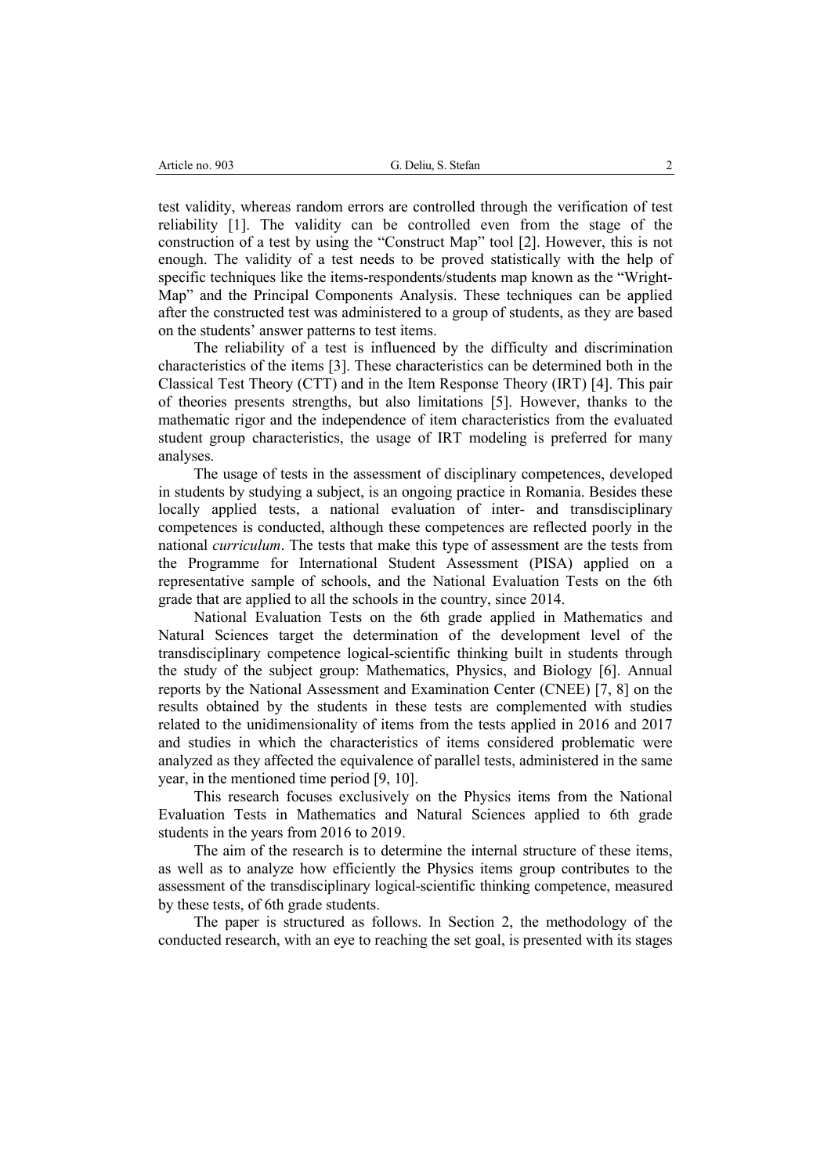test validity, whereas random errors are controlled through the verification of test reliability [1]. The validity can be controlled even from the stage of the construction of a test by using the "Construct Map" tool [2]. However, this is not enough. The validity of a test needs to be proved statistically with the help of specific techniques like the items-respondents/students map known as the "Wright-Map" and the Principal Components Analysis. These techniques can be applied after the constructed test was administered to a group of students, as they are based on the students' answer patterns to test items.

The reliability of a test is influenced by the difficulty and discrimination characteristics of the items [3]. These characteristics can be determined both in the Classical Test Theory (CTT) and in the Item Response Theory (IRT) [4]. This pair of theories presents strengths, but also limitations [5]. However, thanks to the mathematic rigor and the independence of item characteristics from the evaluated student group characteristics, the usage of IRT modeling is preferred for many analyses.

The usage of tests in the assessment of disciplinary competences, developed in students by studying a subject, is an ongoing practice in Romania. Besides these locally applied tests, a national evaluation of inter- and transdisciplinary competences is conducted, although these competences are reflected poorly in the national *curriculum*. The tests that make this type of assessment are the tests from the Programme for International Student Assessment (PISA) applied on a representative sample of schools, and the National Evaluation Tests on the 6th grade that are applied to all the schools in the country, since 2014.

National Evaluation Tests on the 6th grade applied in Mathematics and Natural Sciences target the determination of the development level of the transdisciplinary competence logical-scientific thinking built in students through the study of the subject group: Mathematics, Physics, and Biology [6]. Annual reports by the National Assessment and Examination Center (CNEE) [7, 8] on the results obtained by the students in these tests are complemented with studies related to the unidimensionality of items from the tests applied in 2016 and 2017 and studies in which the characteristics of items considered problematic were analyzed as they affected the equivalence of parallel tests, administered in the same year, in the mentioned time period [9, 10].

This research focuses exclusively on the Physics items from the National Evaluation Tests in Mathematics and Natural Sciences applied to 6th grade students in the years from 2016 to 2019.

The aim of the research is to determine the internal structure of these items, as well as to analyze how efficiently the Physics items group contributes to the assessment of the transdisciplinary logical-scientific thinking competence, measured by these tests, of 6th grade students.

The paper is structured as follows. In Section 2, the methodology of the conducted research, with an eye to reaching the set goal, is presented with its stages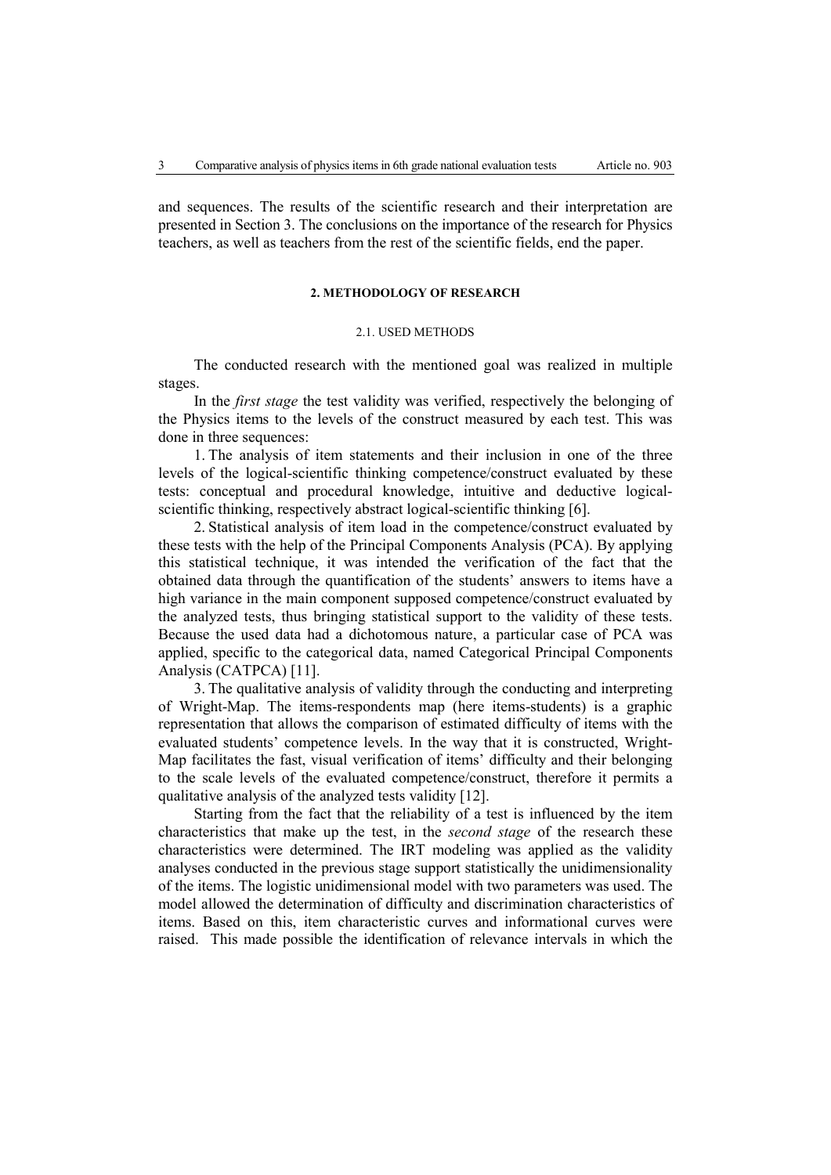and sequences. The results of the scientific research and their interpretation are presented in Section 3. The conclusions on the importance of the research for Physics teachers, as well as teachers from the rest of the scientific fields, end the paper.

#### **2. METHODOLOGY OF RESEARCH**

## 2.1. USED METHODS

The conducted research with the mentioned goal was realized in multiple stages.

In the *first stage* the test validity was verified, respectively the belonging of the Physics items to the levels of the construct measured by each test. This was done in three sequences:

1. The analysis of item statements and their inclusion in one of the three levels of the logical-scientific thinking competence/construct evaluated by these tests: conceptual and procedural knowledge, intuitive and deductive logicalscientific thinking, respectively abstract logical-scientific thinking [6].

2. Statistical analysis of item load in the competence/construct evaluated by these tests with the help of the Principal Components Analysis (PCA). By applying this statistical technique, it was intended the verification of the fact that the obtained data through the quantification of the students' answers to items have a high variance in the main component supposed competence/construct evaluated by the analyzed tests, thus bringing statistical support to the validity of these tests. Because the used data had a dichotomous nature, a particular case of PCA was applied, specific to the categorical data, named Categorical Principal Components Analysis (CATPCA) [11].

3. The qualitative analysis of validity through the conducting and interpreting of Wright-Map. The items-respondents map (here items-students) is a graphic representation that allows the comparison of estimated difficulty of items with the evaluated students' competence levels. In the way that it is constructed, Wright-Map facilitates the fast, visual verification of items' difficulty and their belonging to the scale levels of the evaluated competence/construct, therefore it permits a qualitative analysis of the analyzed tests validity [12].

Starting from the fact that the reliability of a test is influenced by the item characteristics that make up the test, in the *second stage* of the research these characteristics were determined. The IRT modeling was applied as the validity analyses conducted in the previous stage support statistically the unidimensionality of the items. The logistic unidimensional model with two parameters was used. The model allowed the determination of difficulty and discrimination characteristics of items. Based on this, item characteristic curves and informational curves were raised. This made possible the identification of relevance intervals in which the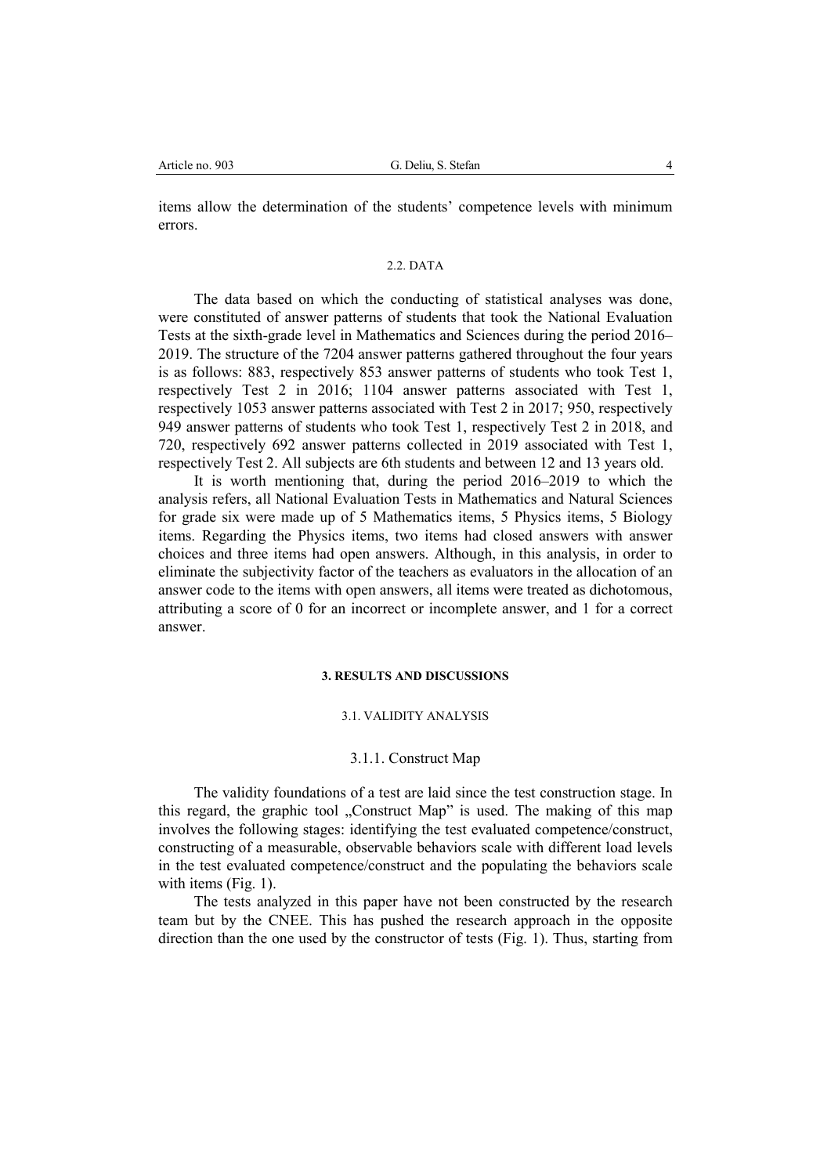items allow the determination of the students' competence levels with minimum errors.

### 2.2. DATA

The data based on which the conducting of statistical analyses was done, were constituted of answer patterns of students that took the National Evaluation Tests at the sixth-grade level in Mathematics and Sciences during the period 2016– 2019. The structure of the 7204 answer patterns gathered throughout the four years is as follows: 883, respectively 853 answer patterns of students who took Test 1, respectively Test 2 in 2016; 1104 answer patterns associated with Test 1, respectively 1053 answer patterns associated with Test 2 in 2017; 950, respectively 949 answer patterns of students who took Test 1, respectively Test 2 in 2018, and 720, respectively 692 answer patterns collected in 2019 associated with Test 1, respectively Test 2. All subjects are 6th students and between 12 and 13 years old.

It is worth mentioning that, during the period 2016–2019 to which the analysis refers, all National Evaluation Tests in Mathematics and Natural Sciences for grade six were made up of 5 Mathematics items, 5 Physics items, 5 Biology items. Regarding the Physics items, two items had closed answers with answer choices and three items had open answers. Although, in this analysis, in order to eliminate the subjectivity factor of the teachers as evaluators in the allocation of an answer code to the items with open answers, all items were treated as dichotomous, attributing a score of 0 for an incorrect or incomplete answer, and 1 for a correct answer.

#### **3. RESULTS AND DISCUSSIONS**

### 3.1. VALIDITY ANALYSIS

## 3.1.1. Construct Map

The validity foundations of a test are laid since the test construction stage. In this regard, the graphic tool "Construct Map" is used. The making of this map involves the following stages: identifying the test evaluated competence/construct, constructing of a measurable, observable behaviors scale with different load levels in the test evaluated competence/construct and the populating the behaviors scale with items (Fig. 1).

The tests analyzed in this paper have not been constructed by the research team but by the CNEE. This has pushed the research approach in the opposite direction than the one used by the constructor of tests (Fig. 1). Thus, starting from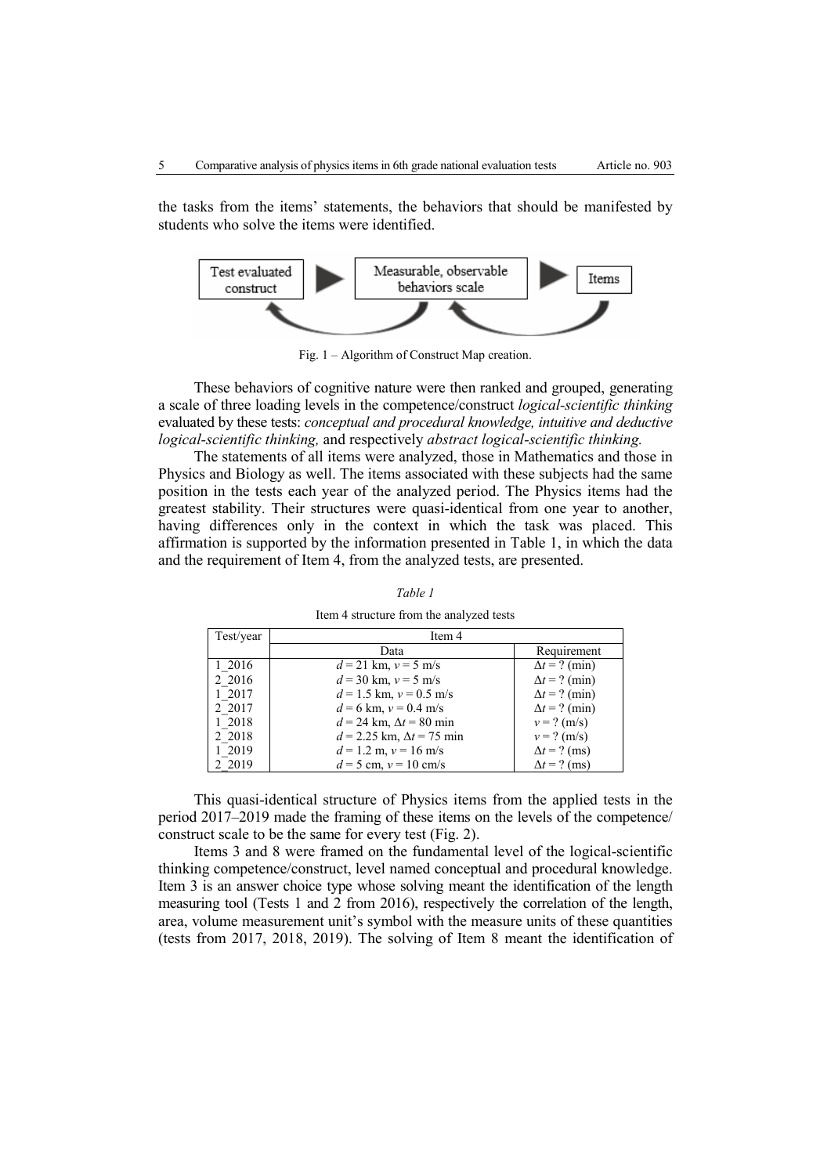the tasks from the items' statements, the behaviors that should be manifested by students who solve the items were identified.



Fig. 1 – Algorithm of Construct Map creation.

These behaviors of cognitive nature were then ranked and grouped, generating a scale of three loading levels in the competence/construct *logical-scientific thinking* evaluated by these tests: *conceptual and procedural knowledge, intuitive and deductive logical-scientific thinking,* and respectively *abstract logical-scientific thinking.* 

The statements of all items were analyzed, those in Mathematics and those in Physics and Biology as well. The items associated with these subjects had the same position in the tests each year of the analyzed period. The Physics items had the greatest stability. Their structures were quasi-identical from one year to another, having differences only in the context in which the task was placed. This affirmation is supported by the information presented in Table 1, in which the data and the requirement of Item 4, from the analyzed tests, are presented.

| Test/year | Item 4                             |                      |
|-----------|------------------------------------|----------------------|
|           | Data                               | Requirement          |
| 1 2016    | $d = 21$ km, $v = 5$ m/s           | $\Delta t = ?$ (min) |
| 2 2016    | $d = 30$ km, $v = 5$ m/s           | $\Delta t = ?$ (min) |
| 1 2017    | $d = 1.5$ km, $v = 0.5$ m/s        | $\Delta t = ?$ (min) |
| 2 2017    | $d = 6$ km, $v = 0.4$ m/s          | $\Delta t = ?$ (min) |
| 1 2018    | $d = 24$ km, $\Delta t = 80$ min   | $v = ? (m/s)$        |
| 2 2018    | $d = 2.25$ km, $\Delta t = 75$ min | $v = ? (m/s)$        |
| 1 2019    | $d = 1.2$ m, $v = 16$ m/s          | $\Delta t$ = ? (ms)  |
| 2 2019    | $d = 5$ cm, $v = 10$ cm/s          | $\Delta t = ?$ (ms)  |

*Table 1*  Item 4 structure from the analyzed tests

This quasi-identical structure of Physics items from the applied tests in the period 2017–2019 made the framing of these items on the levels of the competence/ construct scale to be the same for every test (Fig. 2).

Items 3 and 8 were framed on the fundamental level of the logical-scientific thinking competence/construct, level named conceptual and procedural knowledge. Item 3 is an answer choice type whose solving meant the identification of the length measuring tool (Tests 1 and 2 from 2016), respectively the correlation of the length, area, volume measurement unit's symbol with the measure units of these quantities (tests from 2017, 2018, 2019). The solving of Item 8 meant the identification of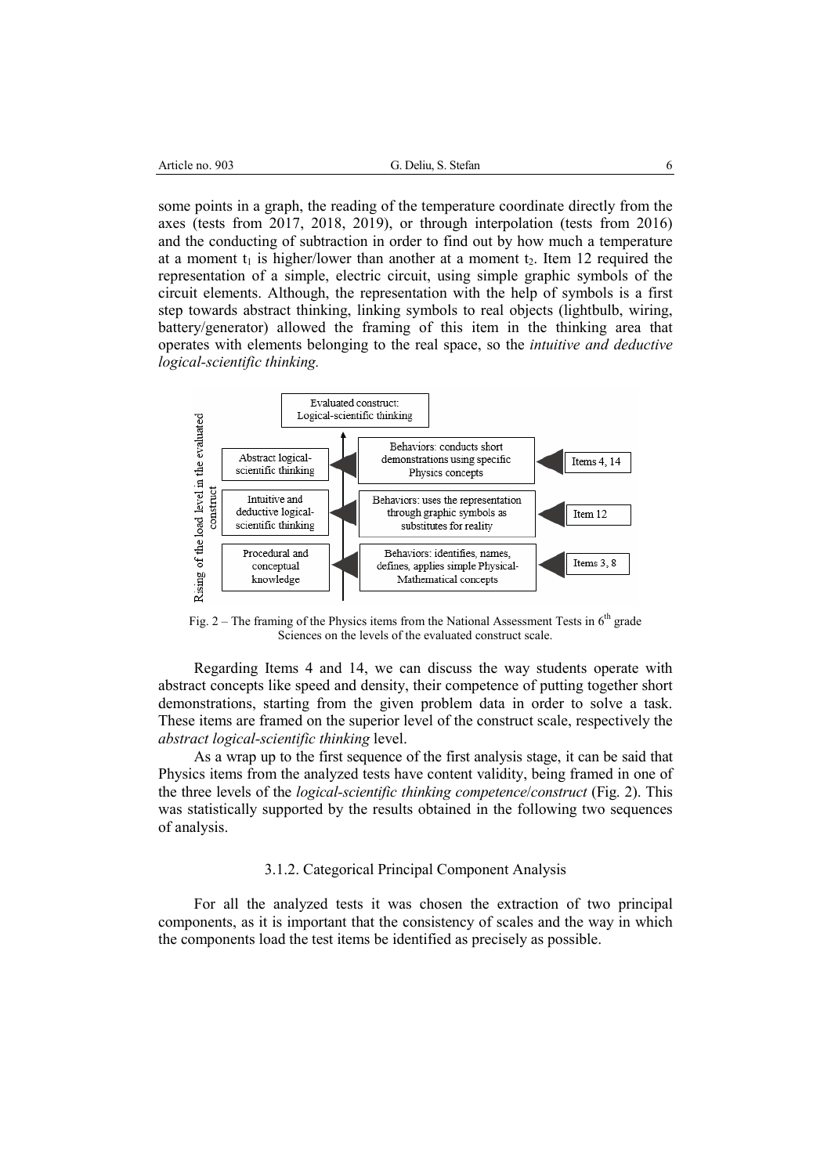some points in a graph, the reading of the temperature coordinate directly from the axes (tests from 2017, 2018, 2019), or through interpolation (tests from 2016) and the conducting of subtraction in order to find out by how much a temperature at a moment  $t_1$  is higher/lower than another at a moment  $t_2$ . Item 12 required the representation of a simple, electric circuit, using simple graphic symbols of the circuit elements. Although, the representation with the help of symbols is a first step towards abstract thinking, linking symbols to real objects (lightbulb, wiring, battery/generator) allowed the framing of this item in the thinking area that operates with elements belonging to the real space, so the *intuitive and deductive logical-scientific thinking.* 



Fig.  $2$  – The framing of the Physics items from the National Assessment Tests in  $6<sup>th</sup>$  grade Sciences on the levels of the evaluated construct scale.

Regarding Items 4 and 14, we can discuss the way students operate with abstract concepts like speed and density, their competence of putting together short demonstrations, starting from the given problem data in order to solve a task. These items are framed on the superior level of the construct scale, respectively the *abstract logical-scientific thinking* level.

As a wrap up to the first sequence of the first analysis stage, it can be said that Physics items from the analyzed tests have content validity, being framed in one of the three levels of the *logical-scientific thinking competence*/*construct* (Fig. 2). This was statistically supported by the results obtained in the following two sequences of analysis.

# 3.1.2. Categorical Principal Component Analysis

For all the analyzed tests it was chosen the extraction of two principal components, as it is important that the consistency of scales and the way in which the components load the test items be identified as precisely as possible.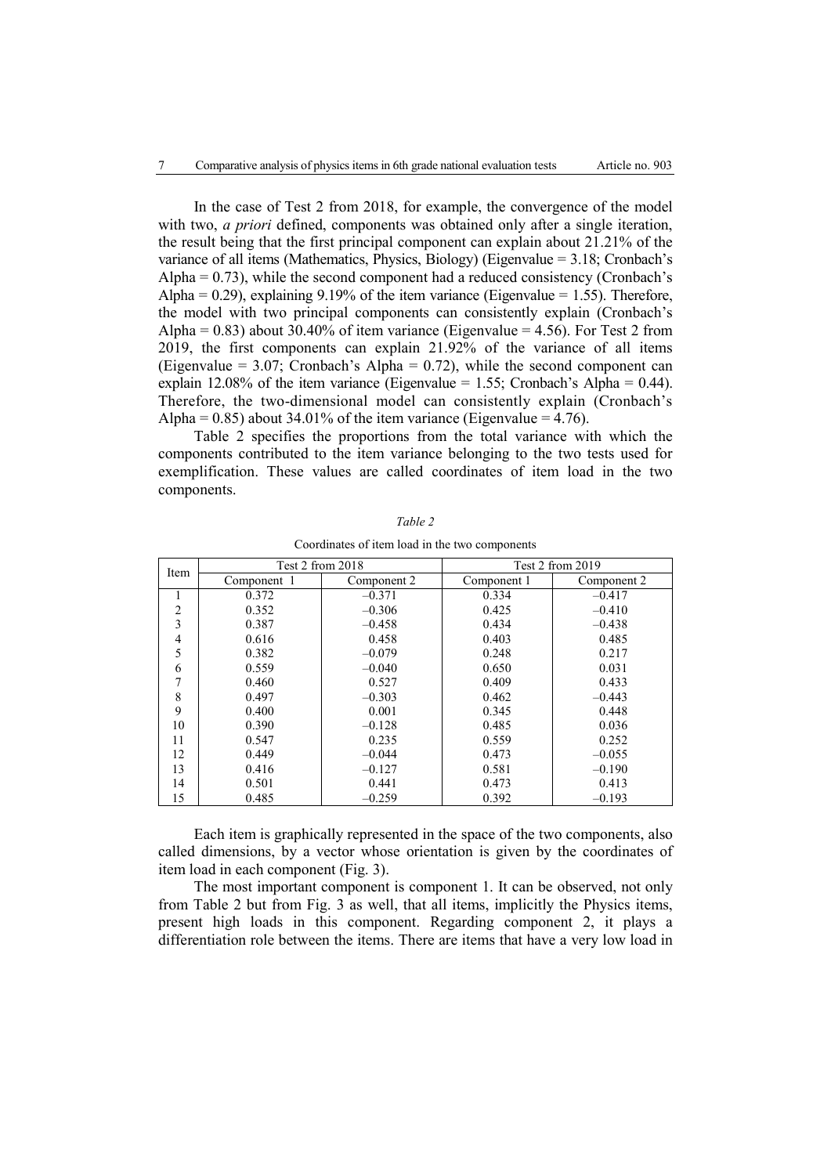In the case of Test 2 from 2018, for example, the convergence of the model with two, *a priori* defined, components was obtained only after a single iteration, the result being that the first principal component can explain about 21.21% of the variance of all items (Mathematics, Physics, Biology) (Eigenvalue = 3.18; Cronbach's Alpha  $= 0.73$ ), while the second component had a reduced consistency (Cronbach's Alpha =  $0.29$ ), explaining 9.19% of the item variance (Eigenvalue = 1.55). Therefore, the model with two principal components can consistently explain (Cronbach's Alpha =  $0.83$ ) about  $30.40\%$  of item variance (Eigenvalue =  $4.56$ ). For Test 2 from 2019, the first components can explain 21.92% of the variance of all items (Eigenvalue = 3.07; Cronbach's Alpha = 0.72), while the second component can explain 12.08% of the item variance (Eigenvalue = 1.55; Cronbach's Alpha =  $0.44$ ). Therefore, the two-dimensional model can consistently explain (Cronbach's Alpha =  $0.85$ ) about 34.01% of the item variance (Eigenvalue = 4.76).

Table 2 specifies the proportions from the total variance with which the components contributed to the item variance belonging to the two tests used for exemplification. These values are called coordinates of item load in the two components.

|                | Test 2 from 2018 |             | Test 2 from 2019 |             |
|----------------|------------------|-------------|------------------|-------------|
| Item           | Component 1      | Component 2 | Component 1      | Component 2 |
| 1              | 0.372            | $-0.371$    | 0.334            | $-0.417$    |
| $\overline{2}$ | 0.352            | $-0.306$    | 0.425            | $-0.410$    |
| 3              | 0.387            | $-0.458$    | 0.434            | $-0.438$    |
| 4              | 0.616            | 0.458       | 0.403            | 0.485       |
| 5              | 0.382            | $-0.079$    | 0.248            | 0.217       |
| 6              | 0.559            | $-0.040$    | 0.650            | 0.031       |
|                | 0.460            | 0.527       | 0.409            | 0.433       |
| 8              | 0.497            | $-0.303$    | 0.462            | $-0.443$    |
| 9              | 0.400            | 0.001       | 0.345            | 0.448       |
| 10             | 0.390            | $-0.128$    | 0.485            | 0.036       |
| 11             | 0.547            | 0.235       | 0.559            | 0.252       |
| 12             | 0.449            | $-0.044$    | 0.473            | $-0.055$    |
| 13             | 0.416            | $-0.127$    | 0.581            | $-0.190$    |
| 14             | 0.501            | 0.441       | 0.473            | 0.413       |
| 15             | 0.485            | $-0.259$    | 0.392            | $-0.193$    |

*Table 2* 

Coordinates of item load in the two components

Each item is graphically represented in the space of the two components, also called dimensions, by a vector whose orientation is given by the coordinates of item load in each component (Fig. 3).

The most important component is component 1. It can be observed, not only from Table 2 but from Fig. 3 as well, that all items, implicitly the Physics items, present high loads in this component. Regarding component 2, it plays a differentiation role between the items. There are items that have a very low load in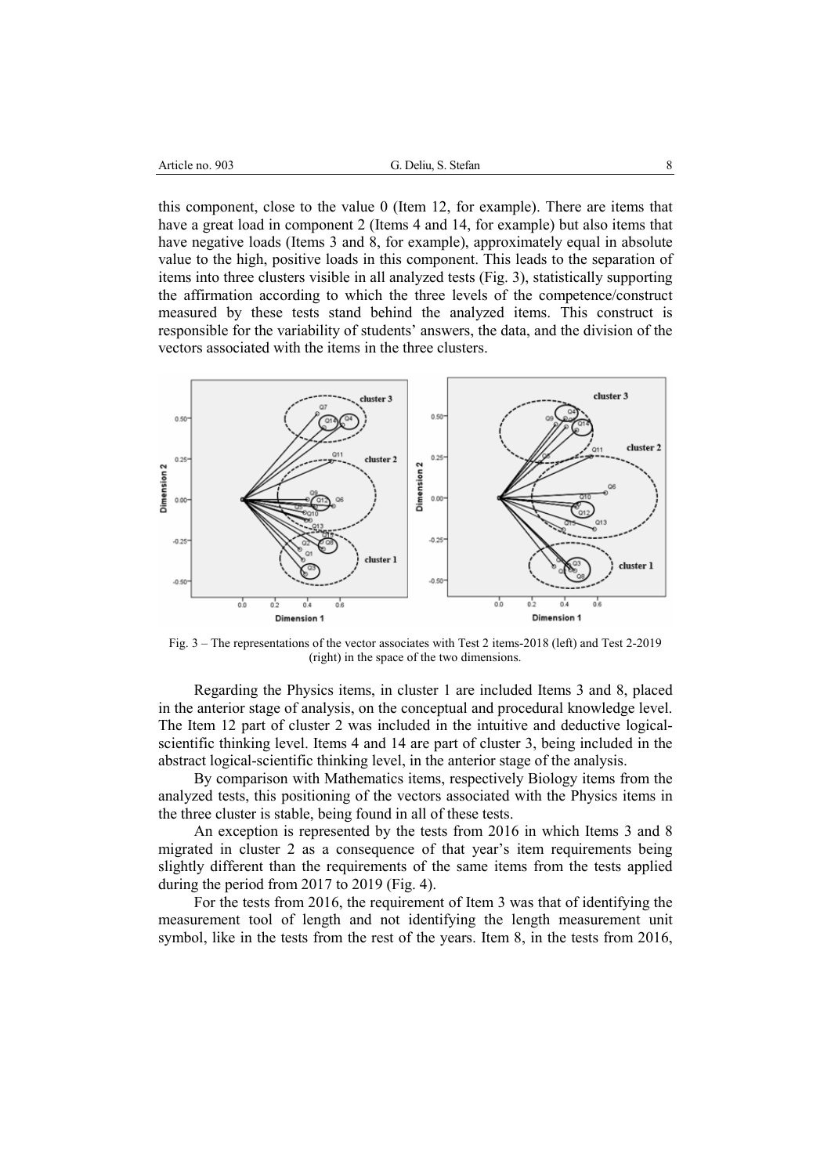| Article no. 903 |  |  |
|-----------------|--|--|
|-----------------|--|--|

this component, close to the value 0 (Item 12, for example). There are items that have a great load in component 2 (Items 4 and 14, for example) but also items that have negative loads (Items 3 and 8, for example), approximately equal in absolute value to the high, positive loads in this component. This leads to the separation of items into three clusters visible in all analyzed tests (Fig. 3), statistically supporting the affirmation according to which the three levels of the competence/construct measured by these tests stand behind the analyzed items. This construct is responsible for the variability of students' answers, the data, and the division of the vectors associated with the items in the three clusters.



Fig. 3 – The representations of the vector associates with Test 2 items-2018 (left) and Test 2-2019 (right) in the space of the two dimensions.

Regarding the Physics items, in cluster 1 are included Items 3 and 8, placed in the anterior stage of analysis, on the conceptual and procedural knowledge level. The Item 12 part of cluster 2 was included in the intuitive and deductive logicalscientific thinking level. Items 4 and 14 are part of cluster 3, being included in the abstract logical-scientific thinking level, in the anterior stage of the analysis.

By comparison with Mathematics items, respectively Biology items from the analyzed tests, this positioning of the vectors associated with the Physics items in the three cluster is stable, being found in all of these tests.

An exception is represented by the tests from 2016 in which Items 3 and 8 migrated in cluster 2 as a consequence of that year's item requirements being slightly different than the requirements of the same items from the tests applied during the period from 2017 to 2019 (Fig. 4).

For the tests from 2016, the requirement of Item 3 was that of identifying the measurement tool of length and not identifying the length measurement unit symbol, like in the tests from the rest of the years. Item 8, in the tests from 2016,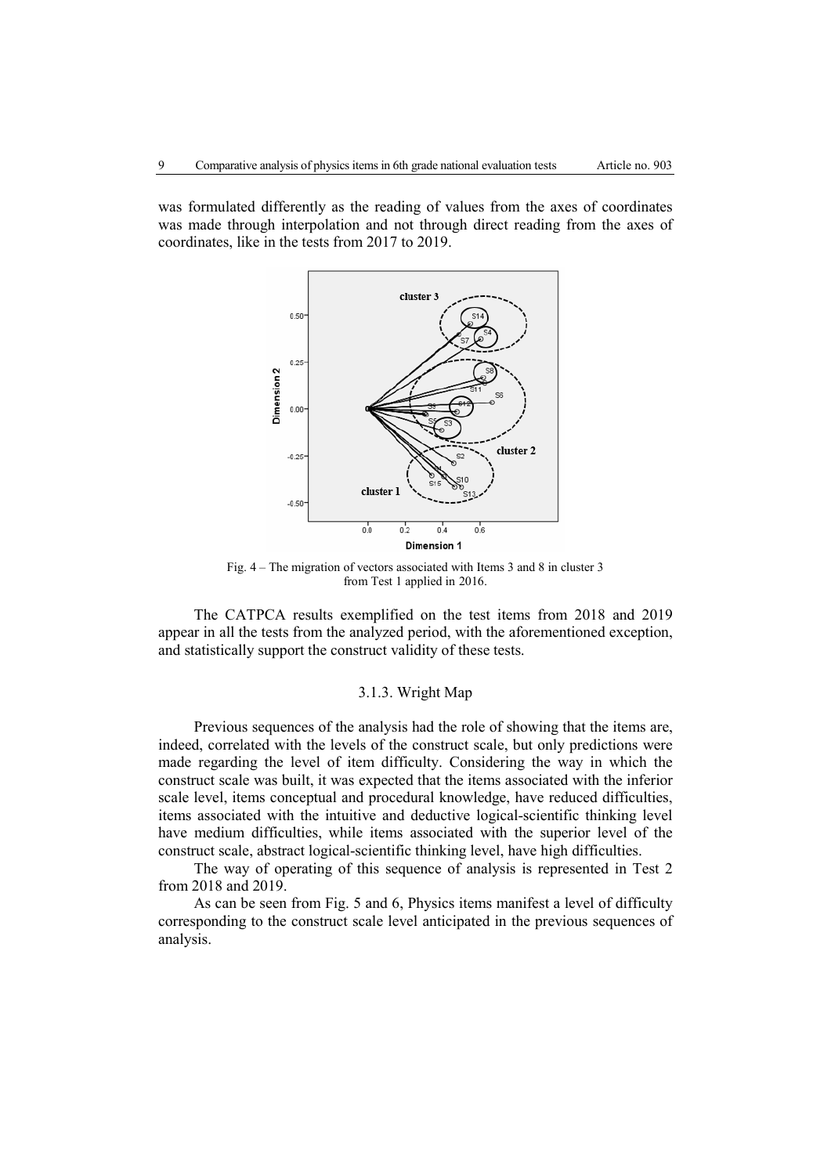was formulated differently as the reading of values from the axes of coordinates was made through interpolation and not through direct reading from the axes of coordinates, like in the tests from 2017 to 2019.



Fig. 4 – The migration of vectors associated with Items 3 and 8 in cluster 3 from Test 1 applied in 2016.

The CATPCA results exemplified on the test items from 2018 and 2019 appear in all the tests from the analyzed period, with the aforementioned exception, and statistically support the construct validity of these tests.

## 3.1.3. Wright Map

Previous sequences of the analysis had the role of showing that the items are, indeed, correlated with the levels of the construct scale, but only predictions were made regarding the level of item difficulty. Considering the way in which the construct scale was built, it was expected that the items associated with the inferior scale level, items conceptual and procedural knowledge, have reduced difficulties, items associated with the intuitive and deductive logical-scientific thinking level have medium difficulties, while items associated with the superior level of the construct scale, abstract logical-scientific thinking level, have high difficulties.

The way of operating of this sequence of analysis is represented in Test 2 from 2018 and 2019.

As can be seen from Fig. 5 and 6, Physics items manifest a level of difficulty corresponding to the construct scale level anticipated in the previous sequences of analysis.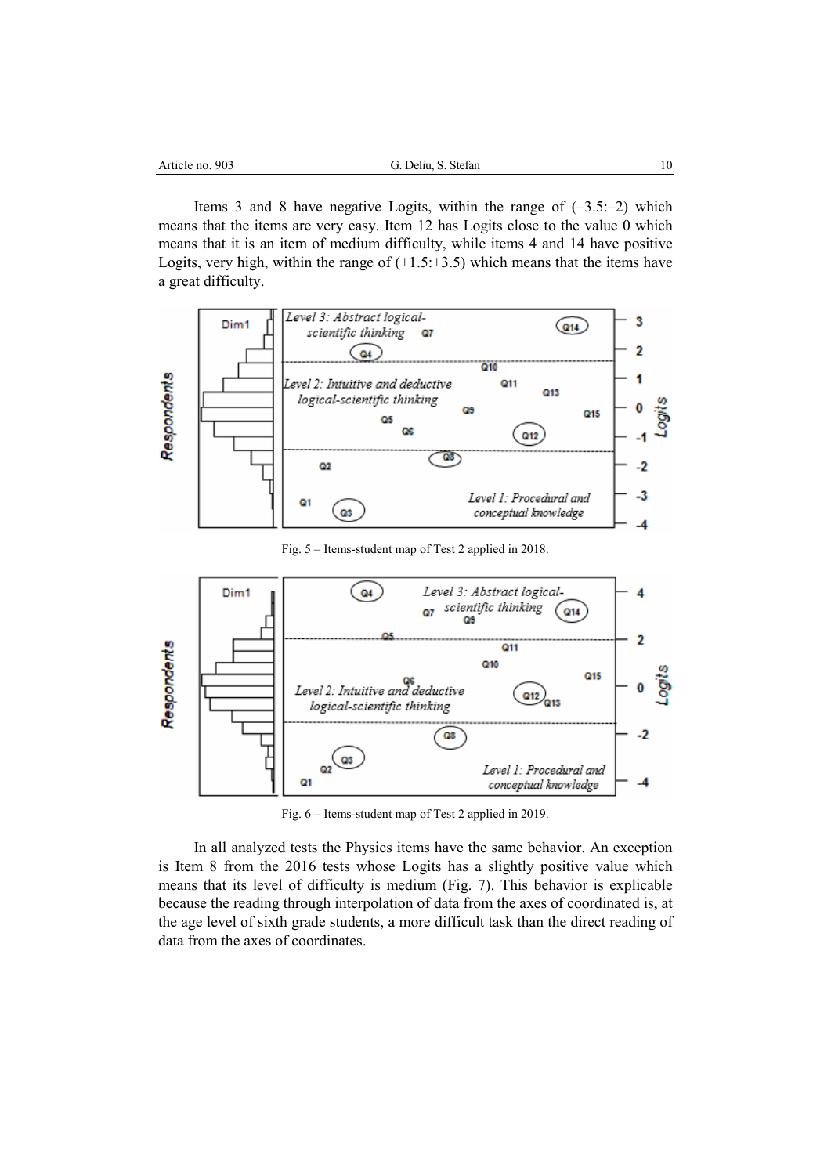| 903<br>no.<br>Article | Stefan<br>P<br>- | 1C |
|-----------------------|------------------|----|
|                       |                  |    |

Items 3 and 8 have negative Logits, within the range of  $(-3.5:-2)$  which means that the items are very easy. Item 12 has Logits close to the value 0 which means that it is an item of medium difficulty, while items 4 and 14 have positive Logits, very high, within the range of  $(+1.5;+3.5)$  which means that the items have a great difficulty.



Fig. 5 – Items-student map of Test 2 applied in 2018.



Fig. 6 – Items-student map of Test 2 applied in 2019.

In all analyzed tests the Physics items have the same behavior. An exception is Item 8 from the 2016 tests whose Logits has a slightly positive value which means that its level of difficulty is medium (Fig. 7). This behavior is explicable because the reading through interpolation of data from the axes of coordinated is, at the age level of sixth grade students, a more difficult task than the direct reading of data from the axes of coordinates.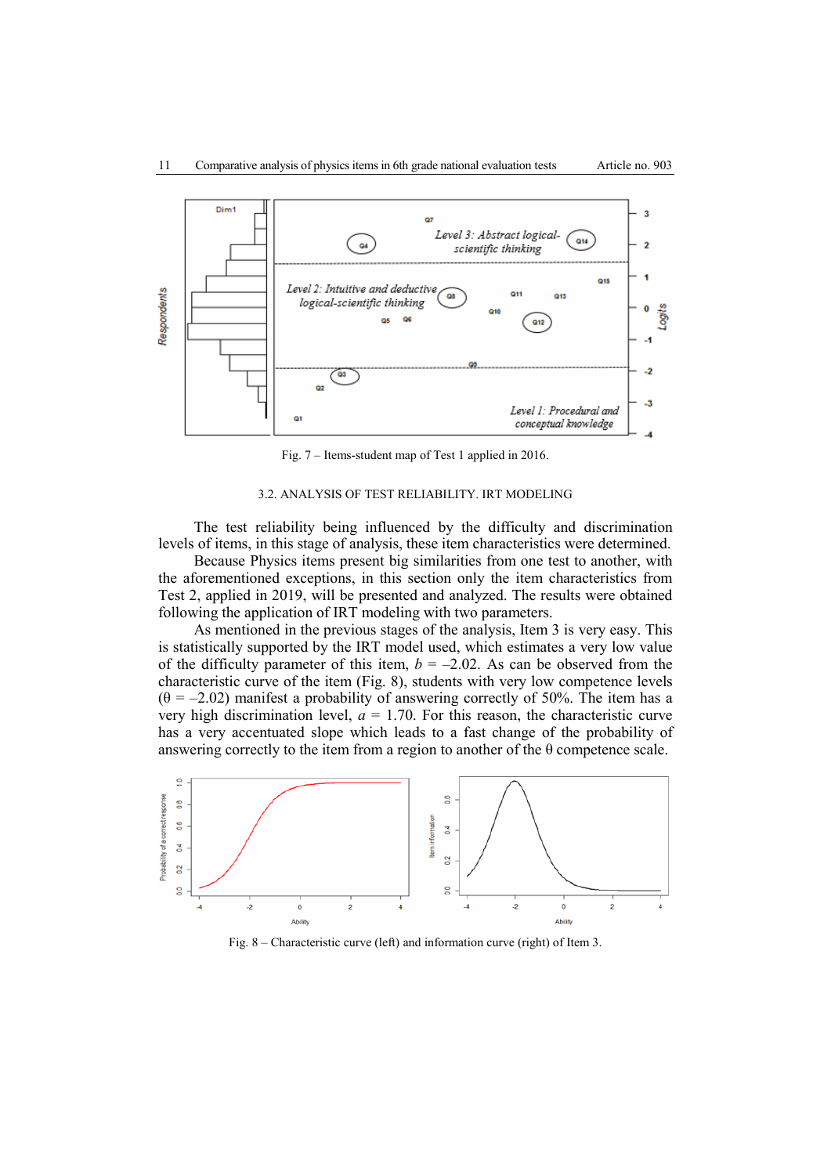



Fig. 7 – Items-student map of Test 1 applied in 2016.

### 3.2. ANALYSIS OF TEST RELIABILITY. IRT MODELING

The test reliability being influenced by the difficulty and discrimination levels of items, in this stage of analysis, these item characteristics were determined.

Because Physics items present big similarities from one test to another, with the aforementioned exceptions, in this section only the item characteristics from Test 2, applied in 2019, will be presented and analyzed. The results were obtained following the application of IRT modeling with two parameters.

As mentioned in the previous stages of the analysis, Item 3 is very easy. This is statistically supported by the IRT model used, which estimates a very low value of the difficulty parameter of this item,  $b = -2.02$ . As can be observed from the characteristic curve of the item (Fig. 8), students with very low competence levels  $(\theta = -2.02)$  manifest a probability of answering correctly of 50%. The item has a very high discrimination level,  $a = 1.70$ . For this reason, the characteristic curve has a very accentuated slope which leads to a fast change of the probability of answering correctly to the item from a region to another of the  $\theta$  competence scale.



Fig. 8 – Characteristic curve (left) and information curve (right) of Item 3.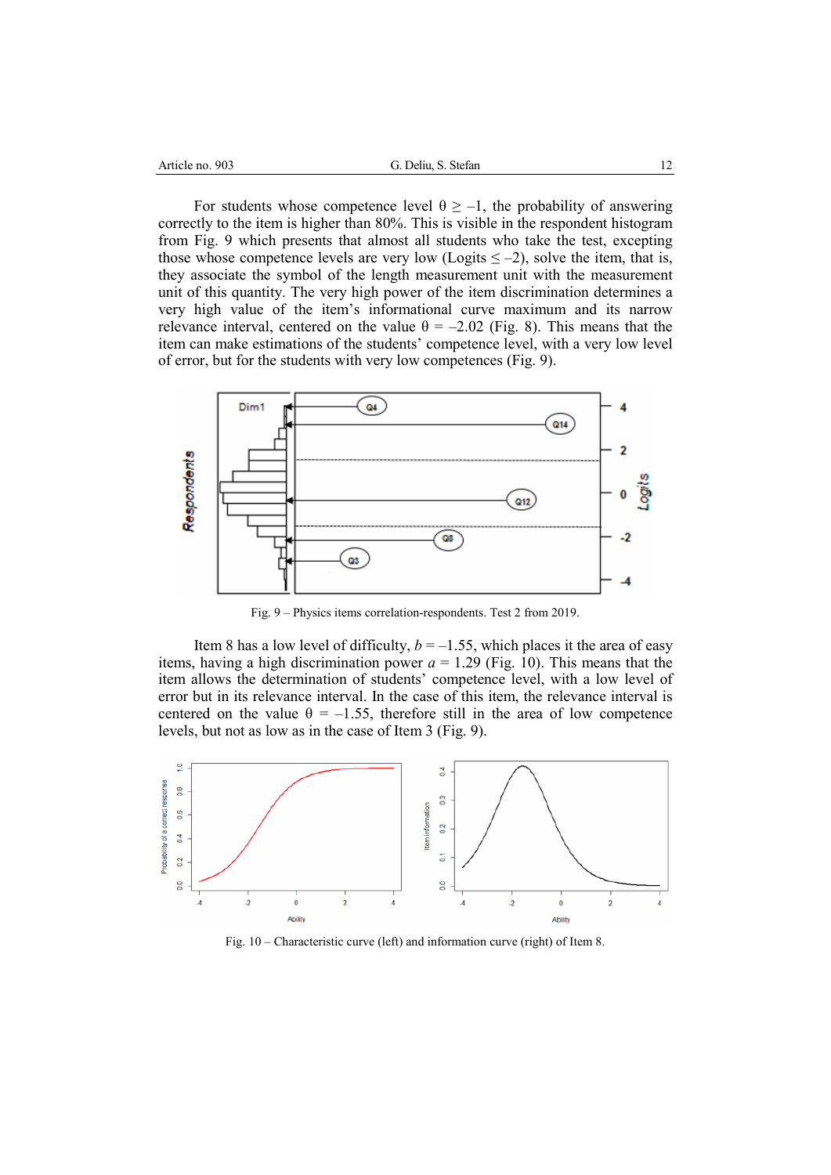| 903<br>Article no. | Stefan<br>P<br>-<br>$\mathbf{D}$ |  |
|--------------------|----------------------------------|--|
|                    |                                  |  |

For students whose competence level  $\theta \ge -1$ , the probability of answering correctly to the item is higher than 80%. This is visible in the respondent histogram from Fig. 9 which presents that almost all students who take the test, excepting those whose competence levels are very low (Logits  $\leq -2$ ), solve the item, that is, they associate the symbol of the length measurement unit with the measurement unit of this quantity. The very high power of the item discrimination determines a very high value of the item's informational curve maximum and its narrow relevance interval, centered on the value  $\theta = -2.02$  (Fig. 8). This means that the item can make estimations of the students' competence level, with a very low level of error, but for the students with very low competences (Fig. 9).



Fig. 9 – Physics items correlation-respondents. Test 2 from 2019.

Item 8 has a low level of difficulty,  $b = -1.55$ , which places it the area of easy items, having a high discrimination power  $a = 1.29$  (Fig. 10). This means that the item allows the determination of students' competence level, with a low level of error but in its relevance interval. In the case of this item, the relevance interval is centered on the value  $\theta = -1.55$ , therefore still in the area of low competence levels, but not as low as in the case of Item 3 (Fig. 9).



Fig. 10 – Characteristic curve (left) and information curve (right) of Item 8.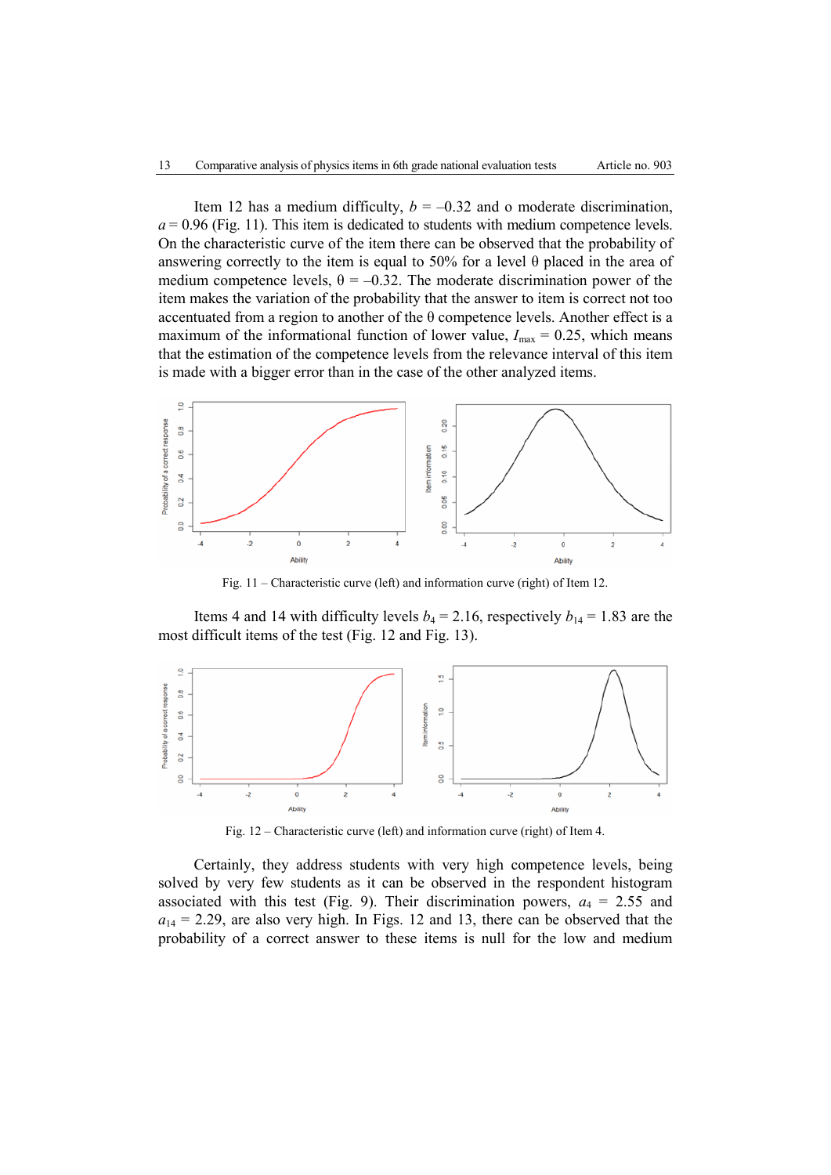Item 12 has a medium difficulty,  $b = -0.32$  and o moderate discrimination,  $a = 0.96$  (Fig. 11). This item is dedicated to students with medium competence levels. On the characteristic curve of the item there can be observed that the probability of answering correctly to the item is equal to 50% for a level θ placed in the area of medium competence levels,  $\theta = -0.32$ . The moderate discrimination power of the item makes the variation of the probability that the answer to item is correct not too accentuated from a region to another of the  $\theta$  competence levels. Another effect is a maximum of the informational function of lower value,  $I_{\text{max}} = 0.25$ , which means that the estimation of the competence levels from the relevance interval of this item is made with a bigger error than in the case of the other analyzed items.



Fig. 11 – Characteristic curve (left) and information curve (right) of Item 12.

Items 4 and 14 with difficulty levels  $b_4 = 2.16$ , respectively  $b_{14} = 1.83$  are the most difficult items of the test (Fig. 12 and Fig. 13).



Fig. 12 – Characteristic curve (left) and information curve (right) of Item 4.

Certainly, they address students with very high competence levels, being solved by very few students as it can be observed in the respondent histogram associated with this test (Fig. 9). Their discrimination powers,  $a_4 = 2.55$  and  $a_{14} = 2.29$ , are also very high. In Figs. 12 and 13, there can be observed that the probability of a correct answer to these items is null for the low and medium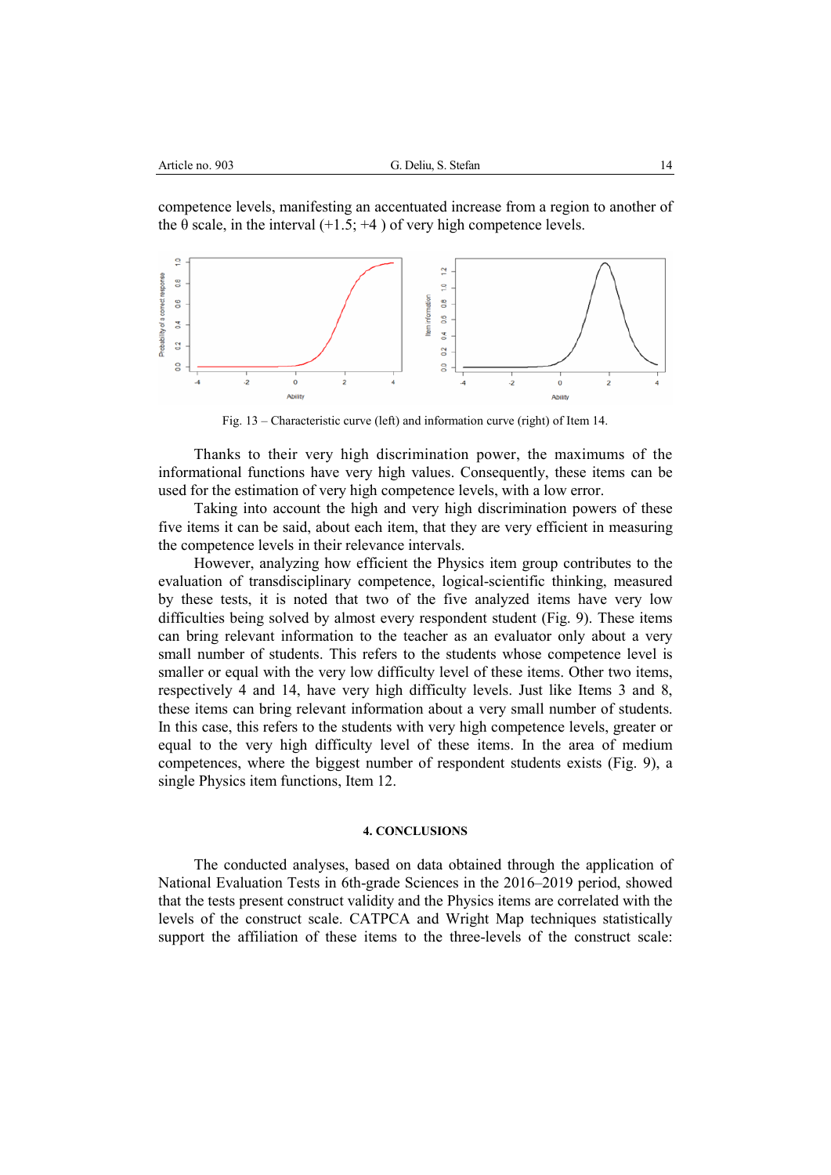competence levels, manifesting an accentuated increase from a region to another of the  $\theta$  scale, in the interval (+1.5; +4) of very high competence levels.



Fig. 13 – Characteristic curve (left) and information curve (right) of Item 14.

Thanks to their very high discrimination power, the maximums of the informational functions have very high values. Consequently, these items can be used for the estimation of very high competence levels, with a low error.

Taking into account the high and very high discrimination powers of these five items it can be said, about each item, that they are very efficient in measuring the competence levels in their relevance intervals.

However, analyzing how efficient the Physics item group contributes to the evaluation of transdisciplinary competence, logical-scientific thinking, measured by these tests, it is noted that two of the five analyzed items have very low difficulties being solved by almost every respondent student (Fig. 9). These items can bring relevant information to the teacher as an evaluator only about a very small number of students. This refers to the students whose competence level is smaller or equal with the very low difficulty level of these items. Other two items, respectively 4 and 14, have very high difficulty levels. Just like Items 3 and 8, these items can bring relevant information about a very small number of students. In this case, this refers to the students with very high competence levels, greater or equal to the very high difficulty level of these items. In the area of medium competences, where the biggest number of respondent students exists (Fig. 9), a single Physics item functions, Item 12.

### **4. CONCLUSIONS**

The conducted analyses, based on data obtained through the application of National Evaluation Tests in 6th-grade Sciences in the 2016–2019 period, showed that the tests present construct validity and the Physics items are correlated with the levels of the construct scale. CATPCA and Wright Map techniques statistically support the affiliation of these items to the three-levels of the construct scale: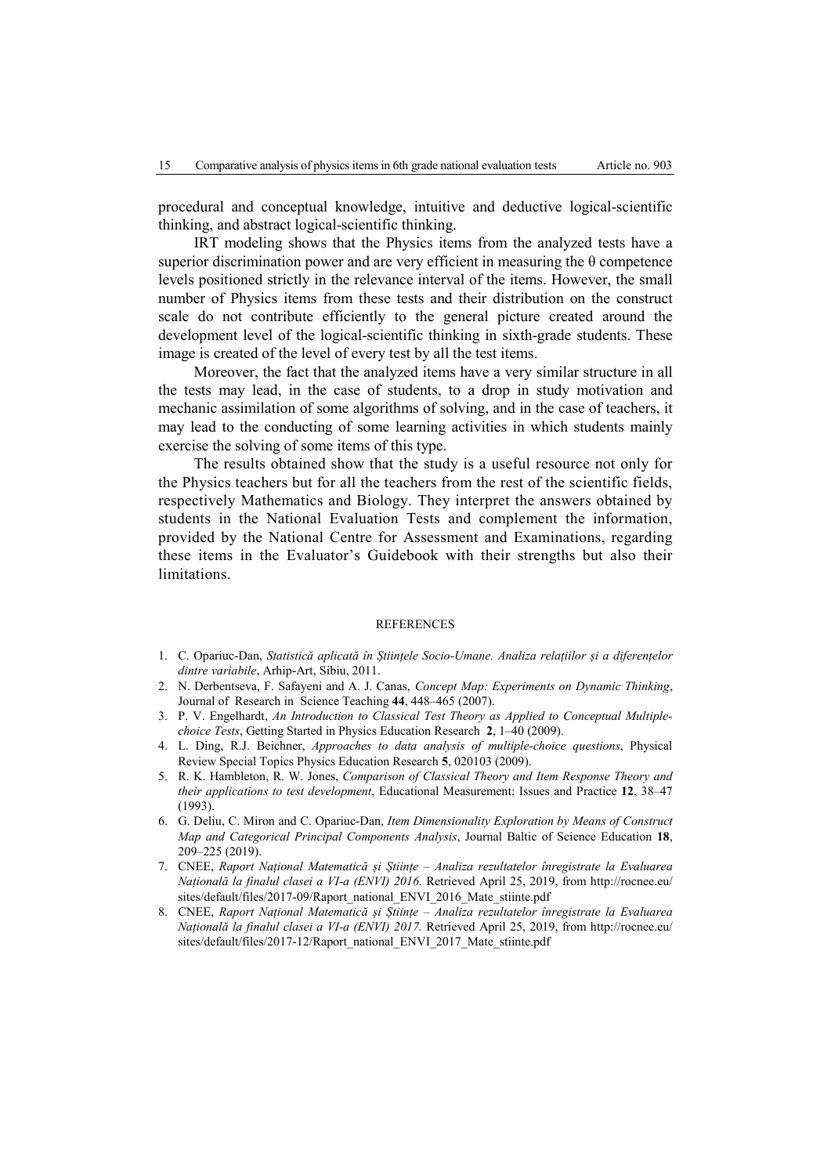procedural and conceptual knowledge, intuitive and deductive logical-scientific thinking, and abstract logical-scientific thinking.

IRT modeling shows that the Physics items from the analyzed tests have a superior discrimination power and are very efficient in measuring the θ competence levels positioned strictly in the relevance interval of the items. However, the small number of Physics items from these tests and their distribution on the construct scale do not contribute efficiently to the general picture created around the development level of the logical-scientific thinking in sixth-grade students. These image is created of the level of every test by all the test items.

Moreover, the fact that the analyzed items have a very similar structure in all the tests may lead, in the case of students, to a drop in study motivation and mechanic assimilation of some algorithms of solving, and in the case of teachers, it may lead to the conducting of some learning activities in which students mainly exercise the solving of some items of this type.

The results obtained show that the study is a useful resource not only for the Physics teachers but for all the teachers from the rest of the scientific fields, respectively Mathematics and Biology. They interpret the answers obtained by students in the National Evaluation Tests and complement the information, provided by the National Centre for Assessment and Examinations, regarding these items in the Evaluator's Guidebook with their strengths but also their limitations.

#### **REFERENCES**

- 1. C. Opariuc-Dan, *Statistică aplicată în Științele Socio-Umane. Analiza relațiilor și a diferențelor dintre variabile*, Arhip-Art, Sibiu, 2011.
- 2. N. Derbentseva, F. Safayeni and A. J. Canas, *Concept Map: Experiments on Dynamic Thinking*, Journal of Research in Science Teaching **44**, 448–465 (2007).
- 3. P. V. Engelhardt, *An Introduction to Classical Test Theory as Applied to Conceptual Multiplechoice Tests*, Getting Started in Physics Education Research **2**, 1–40 (2009).
- 4. L. Ding, R.J. Beichner, *Approaches to data analysis of multiple-choice questions*, Physical Review Special Topics Physics Education Research **5**, 020103 (2009).
- 5. R. K. Hambleton, R. W. Jones, *Comparison of Classical Theory and Item Response Theory and their applications to test development*, Educational Measurement: Issues and Practice **12**, 38–47 (1993).
- 6. G. Deliu, C. Miron and C. Opariuc-Dan, *Item Dimensionality Exploration by Means of Construct Map and Categorical Principal Components Analysis*, Journal Baltic of Science Education **18**, 209–225 (2019).
- 7. CNEE, *Raport Național Matematică și Științe Analiza rezultatelor înregistrate la Evaluarea Națională la finalul clasei a VI-a (ENVI) 2016.* Retrieved April 25, 2019, from http://rocnee.eu/ sites/default/files/2017-09/Raport\_national\_ENVI\_2016\_Mate\_stiinte.pdf
- 8. CNEE, *Raport Național Matematică și Științe Analiza rezultatelor înregistrate la Evaluarea Națională la finalul clasei a VI-a (ENVI) 2017.* Retrieved April 25, 2019, from http://rocnee.eu/ sites/default/files/2017-12/Raport\_national\_ENVI\_2017\_Mate\_stiinte.pdf